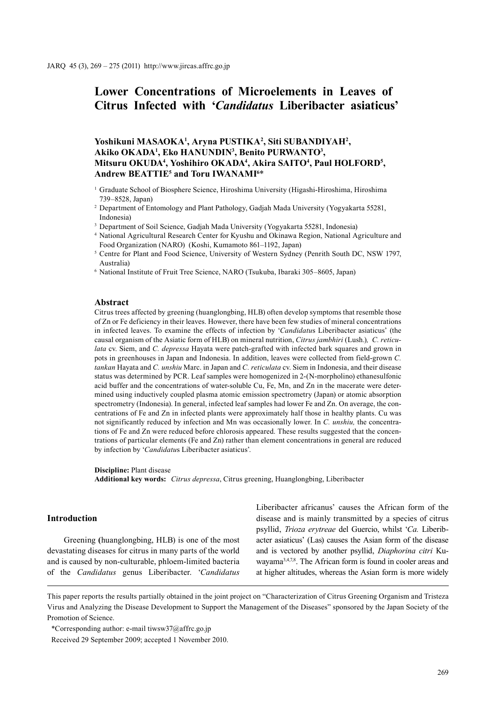# **Lower Concentrations of Microelements in Leaves of Citrus Infected with '***Candidatus* **Liberibacter asiaticus'**

## **Yoshikuni MASAOKA1 , Aryna PUSTIKA2 , Siti SUBANDIYAH2 , Akiko OKADA1 , Eko HANUNDIN3 , Benito PURWANTO3 , Mitsuru OKUDA4 , Yoshihiro OKADA4 , Akira SAITO4 , Paul HOLFORD5 , Andrew BEATTIE5 and Toru IWANAMI6** \*

- <sup>1</sup> Graduate School of Biosphere Science, Hiroshima University (Higashi-Hiroshima, Hiroshima 739–8528, Japan)
- <sup>2</sup> Department of Entomology and Plant Pathology, Gadjah Mada University (Yogyakarta 55281, Indonesia)
- <sup>3</sup> Department of Soil Science, Gadjah Mada University (Yogyakarta 55281, Indonesia)
- <sup>4</sup> National Agricultural Research Center for Kyushu and Okinawa Region, National Agriculture and Food Organization (NARO) (Koshi, Kumamoto 861–1192, Japan)
- <sup>5</sup> Centre for Plant and Food Science, University of Western Sydney (Penrith South DC, NSW 1797, Australia)
- <sup>6</sup> National Institute of Fruit Tree Science, NARO (Tsukuba, Ibaraki 305–8605, Japan)

#### **Abstract**

Citrus trees affected by greening (huanglongbing, HLB) often develop symptoms that resemble those of Zn or Fe deficiency in their leaves. However, there have been few studies of mineral concentrations in infected leaves. To examine the effects of infection by '*Candidatu*s Liberibacter asiaticus' (the causal organism of the Asiatic form of HLB) on mineral nutrition, *Citrus jambhiri* (Lush.)*, C. reticulata* cv. Siem, and *C. depressa* Hayata were patch-grafted with infected bark squares and grown in pots in greenhouses in Japan and Indonesia. In addition, leaves were collected from field-grown *C. tankan* Hayata and *C. unshiu* Marc. in Japan and *C. reticulata* cv. Siem in Indonesia, and their disease status was determined by PCR. Leaf samples were homogenized in 2-(N-morpholino) ethanesulfonic acid buffer and the concentrations of water-soluble Cu, Fe, Mn, and Zn in the macerate were determined using inductively coupled plasma atomic emission spectrometry (Japan) or atomic absorption spectrometry (Indonesia). In general, infected leaf samples had lower Fe and Zn. On average, the concentrations of Fe and Zn in infected plants were approximately half those in healthy plants. Cu was not significantly reduced by infection and Mn was occasionally lower. In *C. unshiu,* the concentrations of Fe and Zn were reduced before chlorosis appeared. These results suggested that the concentrations of particular elements (Fe and Zn) rather than element concentrations in general are reduced by infection by '*Candidatu*s Liberibacter asiaticus'.

**Discipline:** Plant disease

**Additional key words:** *Citrus depressa*, Citrus greening, Huanglongbing, Liberibacter

## **Introduction**

Greening **(**huanglongbing, HLB) is one of the most devastating diseases for citrus in many parts of the world and is caused by non-culturable, phloem-limited bacteria of the *Candidatus* genus Liberibacter. '*Candidatus*

Liberibacter africanus' causes the African form of the disease and is mainly transmitted by a species of citrus psyllid, *Trioza erytreae* del Guercio, whilst '*Ca.* Liberibacter asiaticus' (Las) causes the Asian form of the disease and is vectored by another psyllid, *Diaphorina citri* Kuwayama<sup>3,4,7,8</sup>. The African form is found in cooler areas and at higher altitudes, whereas the Asian form is more widely

This paper reports the results partially obtained in the joint project on "Characterization of Citrus Greening Organism and Tristeza Virus and Analyzing the Disease Development to Support the Management of the Diseases" sponsored by the Japan Society of the Promotion of Science.

\*Corresponding author: e-mail tiwsw37@affrc.go.jp

Received 29 September 2009; accepted 1 November 2010.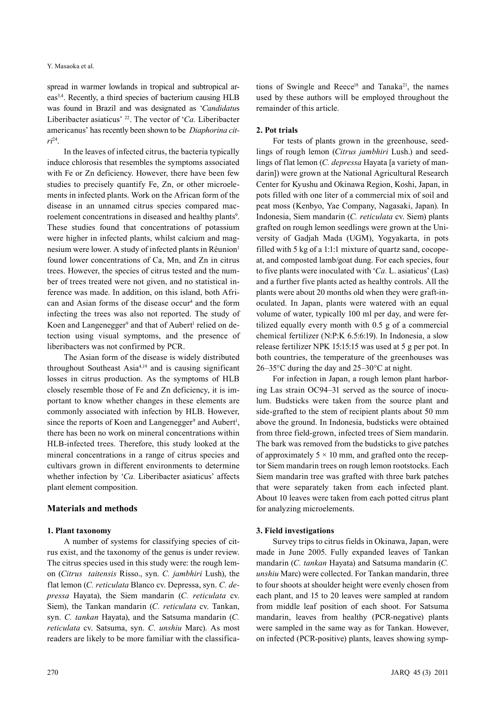#### Y. Masaoka et al.

spread in warmer lowlands in tropical and subtropical areas3,4. Recently, a third species of bacterium causing HLB was found in Brazil and was designated as '*Candidatu*s Liberibacter asiaticus' 22. The vector of '*Ca.* Liberibacter americanus' has recently been shown to be *Diaphorina citri*24.

In the leaves of infected citrus, the bacteria typically induce chlorosis that resembles the symptoms associated with Fe or Zn deficiency. However, there have been few studies to precisely quantify Fe, Zn, or other microelements in infected plants. Work on the African form of the disease in an unnamed citrus species compared macroelement concentrations in diseased and healthy plants<sup>9</sup>. These studies found that concentrations of potassium were higher in infected plants, whilst calcium and magnesium were lower. A study of infected plants in Réunion<sup>1</sup> found lower concentrations of Ca, Mn, and Zn in citrus trees. However, the species of citrus tested and the number of trees treated were not given, and no statistical inference was made. In addition, on this island, both African and Asian forms of the disease occur<sup>4</sup> and the form infecting the trees was also not reported. The study of Koen and Langenegger<sup>9</sup> and that of Aubert<sup>1</sup> relied on detection using visual symptoms, and the presence of liberibacters was not confirmed by PCR.

The Asian form of the disease is widely distributed throughout Southeast Asia4,19 and is causing significant losses in citrus production. As the symptoms of HLB closely resemble those of Fe and Zn deficiency, it is important to know whether changes in these elements are commonly associated with infection by HLB. However, since the reports of Koen and Langenegger<sup>9</sup> and Aubert<sup>1</sup>, there has been no work on mineral concentrations within HLB-infected trees. Therefore, this study looked at the mineral concentrations in a range of citrus species and cultivars grown in different environments to determine whether infection by '*Ca.* Liberibacter asiaticus' affects plant element composition.

## **Materials and methods**

## **1. Plant taxonomy**

A number of systems for classifying species of citrus exist, and the taxonomy of the genus is under review. The citrus species used in this study were: the rough lemon (*Citrus taitensis* Risso., syn. *C. jambhiri* Lush), the flat lemon (*C. reticulata* Blanco cv. Depressa, syn. *C. depressa* Hayata), the Siem mandarin (*C. reticulata* cv. Siem), the Tankan mandarin (*C. reticulata* cv. Tankan, syn. *C. tankan* Hayata), and the Satsuma mandarin (*C. reticulata* cv. Satsuma, syn. *C. unshiu* Marc). As most readers are likely to be more familiar with the classifications of Swingle and Reece<sup>18</sup> and Tanaka<sup>21</sup>, the names used by these authors will be employed throughout the remainder of this article.

#### **2. Pot trials**

For tests of plants grown in the greenhouse, seedlings of rough lemon (*Citrus jambhiri* Lush.) and seedlings of flat lemon (*C. depressa* Hayata [a variety of mandarin]) were grown at the National Agricultural Research Center for Kyushu and Okinawa Region, Koshi, Japan, in pots filled with one liter of a commercial mix of soil and peat moss (Kenbyo, Yae Company, Nagasaki, Japan). In Indonesia, Siem mandarin (*C. reticulata* cv. Siem) plants grafted on rough lemon seedlings were grown at the University of Gadjah Mada (UGM), Yogyakarta, in pots filled with 5 kg of a 1:1:1 mixture of quartz sand, cocopeat, and composted lamb/goat dung. For each species, four to five plants were inoculated with '*Ca.* L. asiaticus' (Las) and a further five plants acted as healthy controls. All the plants were about 20 months old when they were graft-inoculated. In Japan, plants were watered with an equal volume of water, typically 100 ml per day, and were fertilized equally every month with 0.5 g of a commercial chemical fertilizer (N:P:K 6.5:6:19). In Indonesia, a slow release fertilizer NPK 15:15:15 was used at 5 g per pot. In both countries, the temperature of the greenhouses was 26–35°C during the day and 25–30°C at night.

For infection in Japan, a rough lemon plant harboring Las strain OC94–31 served as the source of inoculum. Budsticks were taken from the source plant and side-grafted to the stem of recipient plants about 50 mm above the ground. In Indonesia, budsticks were obtained from three field-grown, infected trees of Siem mandarin. The bark was removed from the budsticks to give patches of approximately  $5 \times 10$  mm, and grafted onto the receptor Siem mandarin trees on rough lemon rootstocks. Each Siem mandarin tree was grafted with three bark patches that were separately taken from each infected plant. About 10 leaves were taken from each potted citrus plant for analyzing microelements.

## **3. Field investigations**

Survey trips to citrus fields in Okinawa, Japan, were made in June 2005. Fully expanded leaves of Tankan mandarin (*C. tankan* Hayata) and Satsuma mandarin (*C. unshiu* Marc) were collected. For Tankan mandarin, three to four shoots at shoulder height were evenly chosen from each plant, and 15 to 20 leaves were sampled at random from middle leaf position of each shoot. For Satsuma mandarin, leaves from healthy (PCR-negative) plants were sampled in the same way as for Tankan. However, on infected (PCR-positive) plants, leaves showing symp-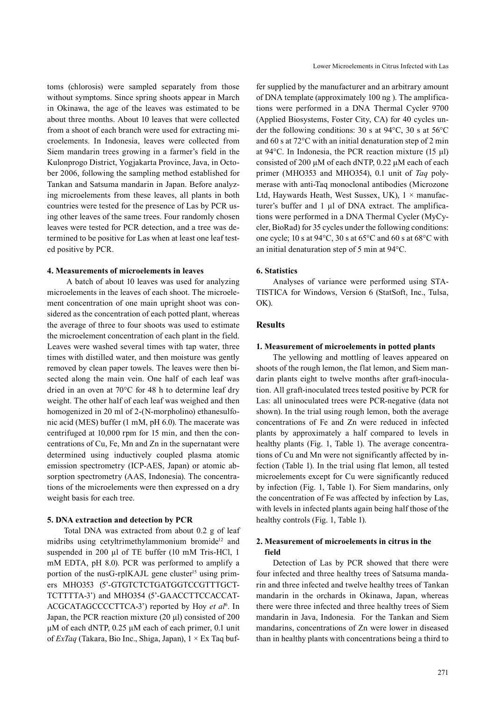toms (chlorosis) were sampled separately from those without symptoms. Since spring shoots appear in March in Okinawa, the age of the leaves was estimated to be about three months. About 10 leaves that were collected from a shoot of each branch were used for extracting microelements. In Indonesia, leaves were collected from Siem mandarin trees growing in a farmer's field in the Kulonprogo District, Yogjakarta Province, Java, in October 2006, following the sampling method established for Tankan and Satsuma mandarin in Japan. Before analyzing microelements from these leaves, all plants in both countries were tested for the presence of Las by PCR using other leaves of the same trees. Four randomly chosen leaves were tested for PCR detection, and a tree was determined to be positive for Las when at least one leaf tested positive by PCR.

#### **4. Measurements of microelements in leaves**

 A batch of about 10 leaves was used for analyzing microelements in the leaves of each shoot. The microelement concentration of one main upright shoot was considered as the concentration of each potted plant, whereas the average of three to four shoots was used to estimate the microelement concentration of each plant in the field. Leaves were washed several times with tap water, three times with distilled water, and then moisture was gently removed by clean paper towels. The leaves were then bisected along the main vein. One half of each leaf was dried in an oven at 70°C for 48 h to determine leaf dry weight. The other half of each leaf was weighed and then homogenized in 20 ml of 2-(N-morpholino) ethanesulfonic acid (MES) buffer (1 mM, pH 6.0). The macerate was centrifuged at 10,000 rpm for 15 min, and then the concentrations of Cu, Fe, Mn and Zn in the supernatant were determined using inductively coupled plasma atomic emission spectrometry (ICP-AES, Japan) or atomic absorption spectrometry (AAS, Indonesia). The concentrations of the microelements were then expressed on a dry weight basis for each tree.

#### **5. DNA extraction and detection by PCR**

Total DNA was extracted from about 0.2 g of leaf midribs using cetyltrimethylammonium bromide<sup>12</sup> and suspended in 200 μl of TE buffer (10 mM Tris-HCl, 1 mM EDTA, pH 8.0). PCR was performed to amplify a portion of the nusG-rplKAJL gene cluster<sup>15</sup> using primers MHO353 (5'-GTGTCTCTGATGGTCCGTTTGCT-TCTTTTA-3') and MHO354 (5'-GAACCTTCCACCAT-ACGCATAGCCCCTTCA-3') reported by Hoy *et al*<sup>6</sup> . In Japan, the PCR reaction mixture (20 μl) consisted of 200 μM of each dNTP, 0.25 μM each of each primer, 0.1 unit of *ExTaq* (Takara, Bio Inc., Shiga, Japan), 1 × Ex Taq buffer supplied by the manufacturer and an arbitrary amount of DNA template (approximately 100 ng ). The amplifications were performed in a DNA Thermal Cycler 9700 (Applied Biosystems, Foster City, CA) for 40 cycles under the following conditions: 30 s at 94°C, 30 s at 56°C and 60 s at 72°C with an initial denaturation step of 2 min at 94°C. In Indonesia, the PCR reaction mixture (15 μl) consisted of 200 μM of each dNTP, 0.22 μM each of each primer (MHO353 and MHO354), 0.1 unit of *Taq* polymerase with anti-Taq monoclonal antibodies (Microzone Ltd, Haywards Heath, West Sussex, UK),  $1 \times$  manufacturer's buffer and 1 µl of DNA extract. The amplifications were performed in a DNA Thermal Cycler (MyCycler, BioRad) for 35 cycles under the following conditions: one cycle; 10 s at 94°C, 30 s at 65°C and 60 s at 68°C with an initial denaturation step of 5 min at 94°C.

## **6. Statistics**

Analyses of variance were performed using STA-TISTICA for Windows, Version 6 (StatSoft, Inc., Tulsa, OK).

## **Results**

#### **1. Measurement of microelements in potted plants**

The yellowing and mottling of leaves appeared on shoots of the rough lemon, the flat lemon, and Siem mandarin plants eight to twelve months after graft-inoculation. All graft-inoculated trees tested positive by PCR for Las: all uninoculated trees were PCR-negative (data not shown). In the trial using rough lemon, both the average concentrations of Fe and Zn were reduced in infected plants by approximately a half compared to levels in healthy plants (Fig. 1, Table 1). The average concentrations of Cu and Mn were not significantly affected by infection (Table 1). In the trial using flat lemon, all tested microelements except for Cu were significantly reduced by infection (Fig. 1, Table 1). For Siem mandarins, only the concentration of Fe was affected by infection by Las, with levels in infected plants again being half those of the healthy controls (Fig. 1, Table 1).

## **2. Measurement of microelements in citrus in the field**

Detection of Las by PCR showed that there were four infected and three healthy trees of Satsuma mandarin and three infected and twelve healthy trees of Tankan mandarin in the orchards in Okinawa, Japan, whereas there were three infected and three healthy trees of Siem mandarin in Java, Indonesia. For the Tankan and Siem mandarins, concentrations of Zn were lower in diseased than in healthy plants with concentrations being a third to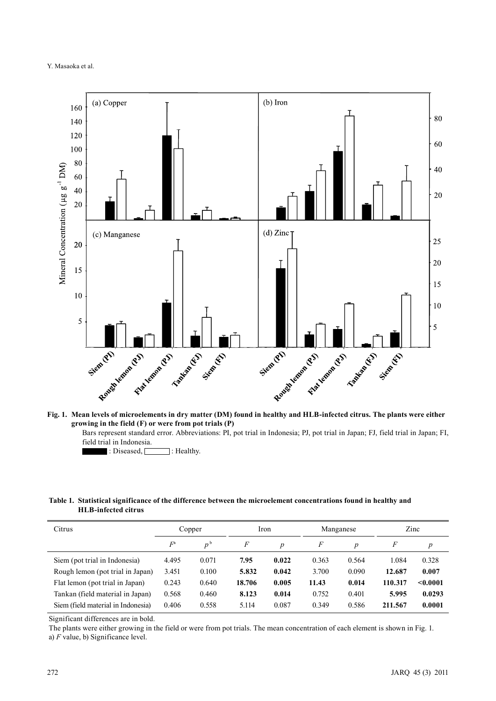

**Fig. 1. Mean levels of microelements in dry matter (DM) found in healthy and HLB-infected citrus. The plants were either growing in the field (F) or were from pot trials (P)**

Bars represent standard error. Abbreviations: PI, pot trial in Indonesia; PJ, pot trial in Japan; FJ, field trial in Japan; FI, field trial in Indonesia.

: Diseased, **:** : Healthy.

## **Table 1. Statistical significance of the difference between the microelement concentrations found in healthy and HLB-infected citrus**

| Citrus                             | Copper |             | Iron   |                  | Manganese |                  | Zinc    |          |
|------------------------------------|--------|-------------|--------|------------------|-----------|------------------|---------|----------|
|                                    | $F^a$  | $p^{\rm b}$ | F      | $\boldsymbol{p}$ | F         | $\boldsymbol{p}$ | F       | p        |
| Siem (pot trial in Indonesia)      | 4.495  | 0.071       | 7.95   | 0.022            | 0.363     | 0.564            | 1.084   | 0.328    |
| Rough lemon (pot trial in Japan)   | 3.451  | 0.100       | 5.832  | 0.042            | 3.700     | 0.090            | 12.687  | 0.007    |
| Flat lemon (pot trial in Japan)    | 0.243  | 0.640       | 18.706 | 0.005            | 11.43     | 0.014            | 110.317 | < 0.0001 |
| Tankan (field material in Japan)   | 0.568  | 0.460       | 8.123  | 0.014            | 0.752     | 0.401            | 5.995   | 0.0293   |
| Siem (field material in Indonesia) | 0.406  | 0.558       | 5.114  | 0.087            | 0.349     | 0.586            | 211.567 | 0.0001   |

Significant differences are in bold.

The plants were either growing in the field or were from pot trials. The mean concentration of each element is shown in Fig. 1. a) *F* value, b) Significance level.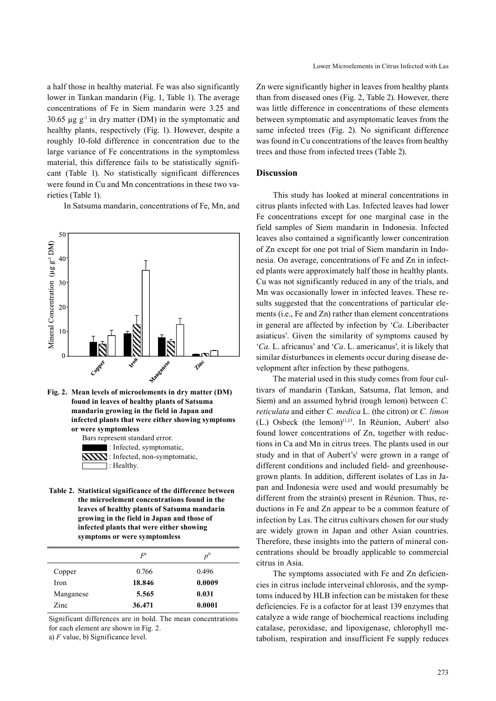a half those in healthy material. Fe was also significantly lower in Tankan mandarin (Fig. 1, Table 1). The average concentrations of Fe in Siem mandarin were 3.25 and 30.65  $\mu$ g g<sup>-1</sup> in dry matter (DM) in the symptomatic and healthy plants, respectively (Fig. 1). However, despite a roughly 10-fold difference in concentration due to the large variance of Fe concentrations in the symptomless material, this difference fails to be statistically significant (Table 1). No statistically significant differences were found in Cu and Mn concentrations in these two varieties (Table 1).

In Satsuma mandarin, concentrations of Fe, Mn, and



**Fig. 2. Mean levels of microelements in dry matter (DM) found in leaves of healthy plants of Satsuma mandarin growing in the field in Japan and infected plants that were either showing symptoms or were symptomless**

Bars represent standard error. : Infected, symptomatic, III: Infected, non-symptomatic,



**Table 2. Statistical significance of the difference between the microelement concentrations found in the leaves of healthy plants of Satsuma mandarin growing in the field in Japan and those of infected plants that were either showing symptoms or were symptomless**

|           | $F^{\rm a}$ | $p^{\rm b}$ |
|-----------|-------------|-------------|
| Copper    | 0.766       | 0.496       |
| Iron      | 18.846      | 0.0009      |
| Manganese | 5.565       | 0.031       |
| Zinc      | 36.471      | 0.0001      |

Significant differences are in bold. The mean concentrations for each element are shown in Fig. 2. a) *F* value, b) Significance level.

Zn were significantly higher in leaves from healthy plants than from diseased ones (Fig. 2, Table 2). However, there was little difference in concentrations of these elements between symptomatic and asymptomatic leaves from the same infected trees (Fig. 2). No significant difference was found in Cu concentrations of the leaves from healthy trees and those from infected trees (Table 2).

## **Discussion**

This study has looked at mineral concentrations in citrus plants infected with Las. Infected leaves had lower Fe concentrations except for one marginal case in the field samples of Siem mandarin in Indonesia. Infected leaves also contained a significantly lower concentration of Zn except for one pot trial of Siem mandarin in Indonesia. On average, concentrations of Fe and Zn in infected plants were approximately half those in healthy plants. Cu was not significantly reduced in any of the trials, and Mn was occasionally lower in infected leaves. These results suggested that the concentrations of particular elements (i.e., Fe and Zn) rather than element concentrations in general are affected by infection by '*Ca.* Liberibacter asiaticus'. Given the similarity of symptoms caused by '*Ca.* L. africanus' and '*Ca*. L. americanus', it is likely that similar disturbances in elements occur during disease development after infection by these pathogens.

The material used in this study comes from four cultivars of mandarin (Tankan, Satsuma, flat lemon, and Siem) and an assumed hybrid (rough lemon) between *C. reticulata* and either *C. medica* L. (the citron) or *C. limon*  $(L)$  Osbeck (the lemon)<sup>11,13</sup>. In Réunion, Aubert<sup>1</sup> also found lower concentrations of Zn, together with reductions in Ca and Mn in citrus trees. The plants used in our study and in that of Aubert's<sup>1</sup> were grown in a range of different conditions and included field- and greenhousegrown plants. In addition, different isolates of Las in Japan and Indonesia were used and would presumably be different from the strain(s) present in Réunion. Thus, reductions in Fe and Zn appear to be a common feature of infection by Las. The citrus cultivars chosen for our study are widely grown in Japan and other Asian countries. Therefore, these insights into the pattern of mineral concentrations should be broadly applicable to commercial citrus in Asia.

The symptoms associated with Fe and Zn deficiencies in citrus include interveinal chlorosis, and the symptoms induced by HLB infection can be mistaken for these deficiencies. Fe is a cofactor for at least 139 enzymes that catalyze a wide range of biochemical reactions including catalase, peroxidase, and lipoxigenase, chlorophyll metabolism, respiration and insufficient Fe supply reduces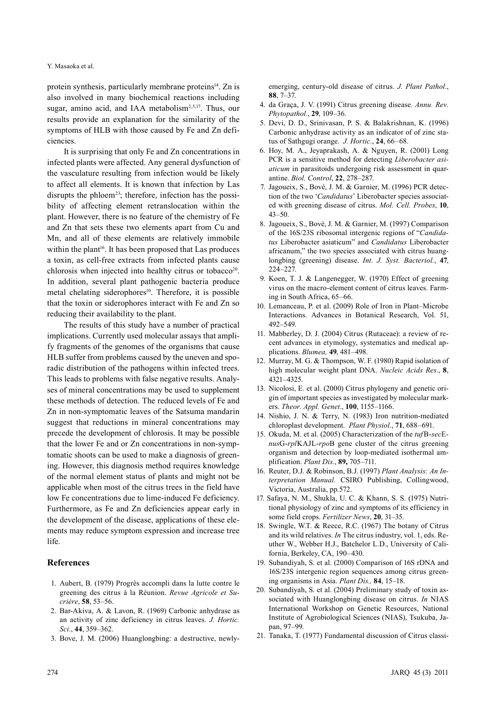#### Y. Masaoka et al.

protein synthesis, particularly membrane proteins<sup>14</sup>. Zn is also involved in many biochemical reactions including sugar, amino acid, and IAA metabolism<sup>2,5,17</sup>. Thus, our results provide an explanation for the similarity of the symptoms of HLB with those caused by Fe and Zn deficiencies.

It is surprising that only Fe and Zn concentrations in infected plants were affected. Any general dysfunction of the vasculature resulting from infection would be likely to affect all elements. It is known that infection by Las disrupts the phloem<sup>23</sup>; therefore, infection has the possibility of affecting element retranslocation within the plant. However, there is no feature of the chemistry of Fe and Zn that sets these two elements apart from Cu and Mn, and all of these elements are relatively immobile within the plant<sup>16</sup>. It has been proposed that Las produces a toxin, as cell-free extracts from infected plants cause chlorosis when injected into healthy citrus or tobacco<sup>20</sup>. In addition, several plant pathogenic bacteria produce metal chelating siderophores<sup>10</sup>. Therefore, it is possible that the toxin or siderophores interact with Fe and Zn so reducing their availability to the plant.

The results of this study have a number of practical implications. Currently used molecular assays that amplify fragments of the genomes of the organisms that cause HLB suffer from problems caused by the uneven and sporadic distribution of the pathogens within infected trees. This leads to problems with false negative results. Analyses of mineral concentrations may be used to supplement these methods of detection. The reduced levels of Fe and Zn in non-symptomatic leaves of the Satsuma mandarin suggest that reductions in mineral concentrations may precede the development of chlorosis. It may be possible that the lower Fe and or Zn concentrations in non-symptomatic shoots can be used to make a diagnosis of greening. However, this diagnosis method requires knowledge of the normal element status of plants and might not be applicable when most of the citrus trees in the field have low Fe concentrations due to lime-induced Fe deficiency. Furthermore, as Fe and Zn deficiencies appear early in the development of the disease, applications of these elements may reduce symptom expression and increase tree life.

## **References**

- 1. Aubert, B. (1979) Progrès accompli dans la lutte contre le greening des citrus à la Réunion. *Revue Agricole et Sucrière*, **58**, 53–56.
- 2. Bar-Akiva, A. & Lavon, R. (1969) Carbonic anhydrase as an activity of zinc deficiency in citrus leaves. *J. Hortic. Sci.*, **44**, 359–362.
- 3. Bove, J. M. (2006) Huanglongbing: a destructive, newly-

emerging, century-old disease of citrus. *J. Plant Pathol.*, **88**, 7–37.

- 4. da Graça, J. V. (1991) Citrus greening disease. *Annu. Rev. Phytopathol.*, **29**, 109–36.
- 5. Devi, D. D., Srinivasan, P. S. & Balakrishnan, K. (1996) Carbonic anhydrase activity as an indicator of of zinc status of Sathgugi orange. *J. Hortic.*, **24**, 66–68.
- 6. Hoy, M. A., Jeyaprakash, A. & Nguyen, R. (2001) Long PCR is a sensitive method for detecting *Liberobacter asiaticum* in parasitoids undergoing risk assessment in quarantine. *Biol. Control*, **22**, 278–287.
- 7. Jagoueix, S., Bové, J. M. & Garnier, M. (1996) PCR detection of the two '*Candidatus*' Liberobacter species associated with greening disease of citrus. *Mol. Cell. Probes*, **10**, 43–50.
- 8. Jagoueix, S., Bové, J. M. & Garnier, M. (1997) Comparison of the 16S/23S ribosomal intergenic regions of "*Candidatus* Liberobacter asiaticum" and *Candidatus* Liberobacter africanum," the two species associated with citrus huanglongbing (greening) disease. *Int. J. Syst. Bacteriol.*, **47**, 224–227.
- 9. Koen, T. J. & Langenegger, W. (1970) Effect of greening virus on the macro-element content of citrus leaves. Farming in South Africa, 65–66.
- 10. Lemanceau, P. et al. (2009) Role of Iron in Plant–Microbe Interactions. Advances in Botanical Research, Vol. 51, 492–549.
- 11. Mabberley, D. J. (2004) Citrus (Rutaceae): a review of recent advances in etymology, systematics and medical applications. *Blumea,* **49**, 481–498.
- 12. Murray, M. G. & Thompson, W. F. (1980) Rapid isolation of high molecular weight plant DNA. *Nucleic Acids Res.*, **8**, 4321–4325.
- 13. Nicolosi, E. et al. (2000) Citrus phylogeny and genetic origin of important species as investigated by molecular markers. *Theor. Appl. Genet.*, **100**, 1155–1166.
- 14. Nishio, J. N. & Terry, N. (1983) Iron nutrition-mediated chloroplast development. *Plant Physiol.*, **71**, 688–691.
- 15. Okuda, M. et al. (2005) Characterization of the *tuf*B-*sec*E*nus*G-*rpl*KAJL-*rpo*B gene cluster of the citrus greening organism and detection by loop-mediated isothermal amplification. *Plant Dis.*, **89,** 705–711.
- 16. Reuter, D.J. & Robinson, B.J. (1997) *Plant Analysis: An Interpretation Manual.* CSIRO Publishing, Collingwood, Victoria, Australia, pp.572.
- 17. Safaya, N. M., Shukla, U. C. & Khann, S. S. (1975) Nutritional physiology of zinc and symptoms of its efficiency in some field crops. *Fertilizer News*, **20**, 31–35.
- 18. Swingle, W.T. & Reece, R.C. (1967) The botany of Citrus and its wild relatives. *In* The citrus industry, vol. 1, eds. Reuther W., Webber H.J., Batchelor L.D., University of California, Berkeley, CA, 190–430.
- 19. Subandiyah, S. et al. (2000) Comparison of 16S rDNA and 16S/23S intergenic region sequences among citrus greening organisms in Asia. *Plant Dis.,* **84**, 15–18.
- 20. Subandiyah, S. et al. (2004) Preliminary study of toxin associated with Huanglongbing disease on citrus. *In* NIAS International Workshop on Genetic Resources, National Institute of Agrobiological Sciences (NIAS), Tsukuba, Japan, 97–99.
- 21. Tanaka, T. (1977) Fundamental discussion of Citrus classi-